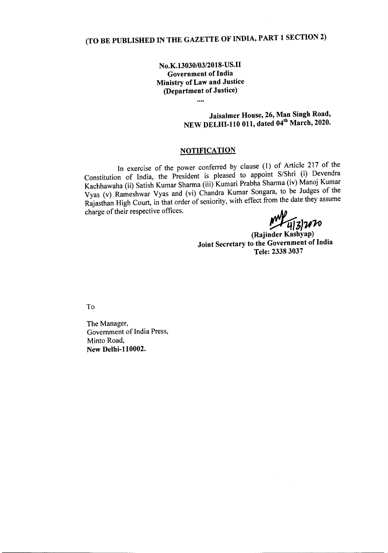## (TO BE PUBLISHED IN THE GAZETTE OF INDIA, PART 1 SECTION 2)

No.K.13030/03/2018-US.II Government of India Ministry of Law and Justice (Department of Justice)

....

Jaisalmer House, 26, Man Singh Road, NEW DELHI-110 011, dated 04" March, 2020.

## **NOTIFICATION**

In exercise of the power conferred by clause (1) of Article 217 of the Constitution of India, the President is pleased to appoint *S/Shri* (i) Devendra Kachhawaha (ii) Satish Kumar Sharma (iii) Kumari Prabha Sharma (iv) Manoj Kumar Vyas (v) Rameshwar Vyas and (vi) Chandra Kumar Songara, to be Judges of the Rajasthan High Court, in that order of seniority, with effect from the date they assume charge of their respective offices.

*(!!t(J3}1I1o*

(Rajinder Kashyap) Joint Secretary to the Government of India Tele: 2338 3037

To

The Manager, Government of India Press, Minto Road, New Delhi-ll0002.